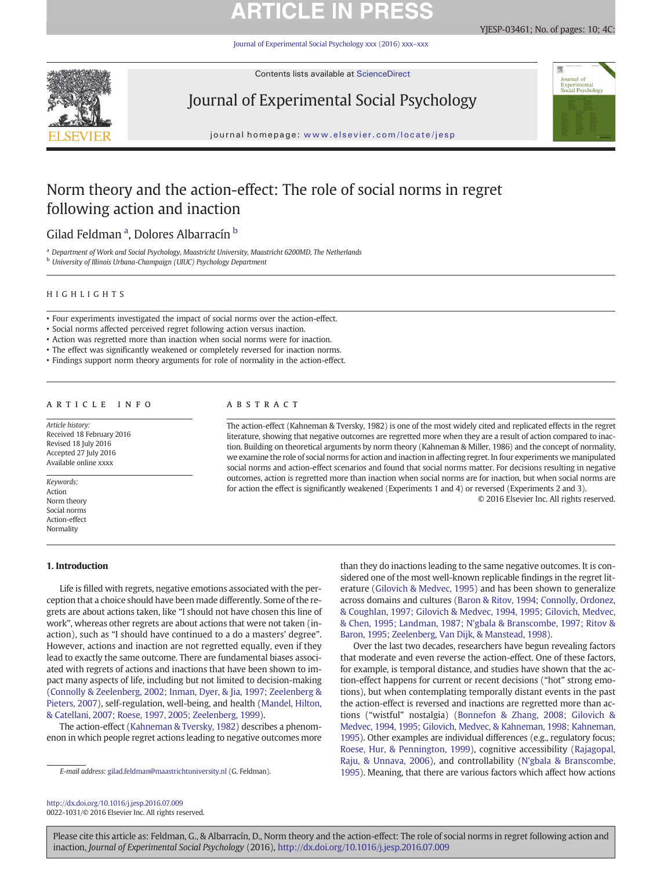# **ARTICLE IN PRES**

[Journal of Experimental Social Psychology xxx \(2016\) xxx](http://dx.doi.org/10.1016/j.jesp.2016.07.009)–xxx



Contents lists available at ScienceDirect

## Journal of Experimental Social Psychology



YJESP-03461; No. of pages: 10; 4C:

journal homepage: <www.elsevier.com/locate/jesp>

## Norm theory and the action-effect: The role of social norms in regret following action and inaction

Gilad Feldman <sup>a</sup>, Dolores Albarracín <sup>b</sup>

a Department of Work and Social Psychology, Maastricht University, Maastricht 6200MD, The Netherlands **b** University of Illinois Urbana-Champaign (UIUC) Psychology Department

### HIGHLIGHTS

- Four experiments investigated the impact of social norms over the action-effect.
- Social norms affected perceived regret following action versus inaction.
- Action was regretted more than inaction when social norms were for inaction.
- The effect was significantly weakened or completely reversed for inaction norms.
- Findings support norm theory arguments for role of normality in the action-effect.

### article info abstract

Article history: Received 18 February 2016 Revised 18 July 2016 Accepted 27 July 2016 Available online xxxx

Keywords: Action Norm theory Social norms Action-effect Normality

### 1. Introduction

The action-effect (Kahneman & Tversky, 1982) is one of the most widely cited and replicated effects in the regret literature, showing that negative outcomes are regretted more when they are a result of action compared to inaction. Building on theoretical arguments by norm theory (Kahneman & Miller, 1986) and the concept of normality, we examine the role of social norms for action and inaction in affecting regret. In four experiments we manipulated social norms and action-effect scenarios and found that social norms matter. For decisions resulting in negative outcomes, action is regretted more than inaction when social norms are for inaction, but when social norms are for action the effect is significantly weakened (Experiments 1 and 4) or reversed (Experiments 2 and 3).

© 2016 Elsevier Inc. All rights reserved.

Life is filled with regrets, negative emotions associated with the perception that a choice should have been made differently. Some of the regrets are about actions taken, like "I should not have chosen this line of work", whereas other regrets are about actions that were not taken (inaction), such as "I should have continued to a do a masters' degree". However, actions and inaction are not regretted equally, even if they lead to exactly the same outcome. There are fundamental biases associated with regrets of actions and inactions that have been shown to impact many aspects of life, including but not limited to decision-making [\(Connolly & Zeelenberg, 2002; Inman, Dyer, & Jia, 1997; Zeelenberg &](#page-8-0) [Pieters, 2007\)](#page-8-0), self-regulation, well-being, and health [\(Mandel, Hilton,](#page-8-0) [& Catellani, 2007; Roese, 1997, 2005; Zeelenberg, 1999\)](#page-8-0).

The action-effect ([Kahneman & Tversky, 1982](#page-8-0)) describes a phenomenon in which people regret actions leading to negative outcomes more than they do inactions leading to the same negative outcomes. It is considered one of the most well-known replicable findings in the regret literature ([Gilovich & Medvec, 1995\)](#page-8-0) and has been shown to generalize across domains and cultures ([Baron & Ritov, 1994; Connolly, Ordonez,](#page-8-0) [& Coughlan, 1997; Gilovich & Medvec, 1994, 1995; Gilovich, Medvec,](#page-8-0) [& Chen, 1995; Landman, 1987; N'gbala & Branscombe, 1997; Ritov &](#page-8-0) [Baron, 1995; Zeelenberg, Van Dijk, & Manstead, 1998\)](#page-8-0).

Over the last two decades, researchers have begun revealing factors that moderate and even reverse the action-effect. One of these factors, for example, is temporal distance, and studies have shown that the action-effect happens for current or recent decisions ("hot" strong emotions), but when contemplating temporally distant events in the past the action-effect is reversed and inactions are regretted more than actions ("wistful" nostalgia) ([Bonnefon & Zhang, 2008; Gilovich &](#page-8-0) [Medvec, 1994, 1995; Gilovich, Medvec, & Kahneman, 1998; Kahneman,](#page-8-0) [1995](#page-8-0)). Other examples are individual differences (e.g., regulatory focus; [Roese, Hur, & Pennington, 1999](#page-9-0)), cognitive accessibility [\(Rajagopal,](#page-9-0) [Raju, & Unnava, 2006\)](#page-9-0), and controllability ([N'gbala & Branscombe,](#page-8-0) [1995](#page-8-0)). Meaning, that there are various factors which affect how actions

<http://dx.doi.org/10.1016/j.jesp.2016.07.009> 0022-1031/© 2016 Elsevier Inc. All rights reserved.

E-mail address: [gilad.feldman@maastrichtuniversity.nl](mailto:gilad.feldman@maastrichtuniversity.nl) (G. Feldman).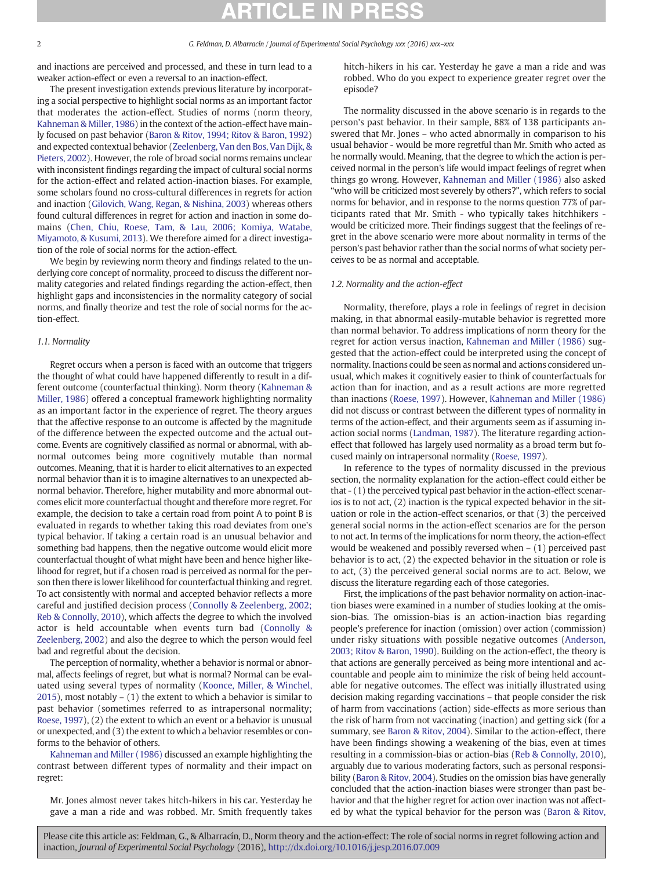and inactions are perceived and processed, and these in turn lead to a weaker action-effect or even a reversal to an inaction-effect.

The present investigation extends previous literature by incorporating a social perspective to highlight social norms as an important factor that moderates the action-effect. Studies of norms (norm theory, [Kahneman & Miller, 1986\)](#page-8-0) in the context of the action-effect have mainly focused on past behavior [\(Baron & Ritov, 1994; Ritov & Baron, 1992](#page-8-0)) and expected contextual behavior ([Zeelenberg, Van den Bos, Van Dijk, &](#page-9-0) [Pieters, 2002](#page-9-0)). However, the role of broad social norms remains unclear with inconsistent findings regarding the impact of cultural social norms for the action-effect and related action-inaction biases. For example, some scholars found no cross-cultural differences in regrets for action and inaction ([Gilovich, Wang, Regan, & Nishina, 2003](#page-8-0)) whereas others found cultural differences in regret for action and inaction in some domains [\(Chen, Chiu, Roese, Tam, & Lau, 2006; Komiya, Watabe,](#page-8-0) [Miyamoto, & Kusumi, 2013\)](#page-8-0). We therefore aimed for a direct investigation of the role of social norms for the action-effect.

We begin by reviewing norm theory and findings related to the underlying core concept of normality, proceed to discuss the different normality categories and related findings regarding the action-effect, then highlight gaps and inconsistencies in the normality category of social norms, and finally theorize and test the role of social norms for the action-effect.

### 1.1. Normality

Regret occurs when a person is faced with an outcome that triggers the thought of what could have happened differently to result in a different outcome (counterfactual thinking). Norm theory [\(Kahneman &](#page-8-0) [Miller, 1986\)](#page-8-0) offered a conceptual framework highlighting normality as an important factor in the experience of regret. The theory argues that the affective response to an outcome is affected by the magnitude of the difference between the expected outcome and the actual outcome. Events are cognitively classified as normal or abnormal, with abnormal outcomes being more cognitively mutable than normal outcomes. Meaning, that it is harder to elicit alternatives to an expected normal behavior than it is to imagine alternatives to an unexpected abnormal behavior. Therefore, higher mutability and more abnormal outcomes elicit more counterfactual thought and therefore more regret. For example, the decision to take a certain road from point A to point B is evaluated in regards to whether taking this road deviates from one's typical behavior. If taking a certain road is an unusual behavior and something bad happens, then the negative outcome would elicit more counterfactual thought of what might have been and hence higher likelihood for regret, but if a chosen road is perceived as normal for the person then there is lower likelihood for counterfactual thinking and regret. To act consistently with normal and accepted behavior reflects a more careful and justified decision process ([Connolly & Zeelenberg, 2002;](#page-8-0) [Reb & Connolly, 2010](#page-8-0)), which affects the degree to which the involved actor is held accountable when events turn bad ([Connolly &](#page-8-0) [Zeelenberg, 2002](#page-8-0)) and also the degree to which the person would feel bad and regretful about the decision.

The perception of normality, whether a behavior is normal or abnormal, affects feelings of regret, but what is normal? Normal can be evaluated using several types of normality ([Koonce, Miller, & Winchel,](#page-8-0) [2015\)](#page-8-0), most notably – (1) the extent to which a behavior is similar to past behavior (sometimes referred to as intrapersonal normality; [Roese, 1997\)](#page-9-0), (2) the extent to which an event or a behavior is unusual or unexpected, and (3) the extent to which a behavior resembles or conforms to the behavior of others.

[Kahneman and Miller \(1986\)](#page-8-0) discussed an example highlighting the contrast between different types of normality and their impact on regret:

Mr. Jones almost never takes hitch-hikers in his car. Yesterday he gave a man a ride and was robbed. Mr. Smith frequently takes hitch-hikers in his car. Yesterday he gave a man a ride and was robbed. Who do you expect to experience greater regret over the episode?

The normality discussed in the above scenario is in regards to the person's past behavior. In their sample, 88% of 138 participants answered that Mr. Jones – who acted abnormally in comparison to his usual behavior - would be more regretful than Mr. Smith who acted as he normally would. Meaning, that the degree to which the action is perceived normal in the person's life would impact feelings of regret when things go wrong. However, [Kahneman and Miller \(1986\)](#page-8-0) also asked "who will be criticized most severely by others?", which refers to social norms for behavior, and in response to the norms question 77% of participants rated that Mr. Smith - who typically takes hitchhikers would be criticized more. Their findings suggest that the feelings of regret in the above scenario were more about normality in terms of the person's past behavior rather than the social norms of what society perceives to be as normal and acceptable.

#### 1.2. Normality and the action-effect

Normality, therefore, plays a role in feelings of regret in decision making, in that abnormal easily-mutable behavior is regretted more than normal behavior. To address implications of norm theory for the regret for action versus inaction, [Kahneman and Miller \(1986\)](#page-8-0) suggested that the action-effect could be interpreted using the concept of normality. Inactions could be seen as normal and actions considered unusual, which makes it cognitively easier to think of counterfactuals for action than for inaction, and as a result actions are more regretted than inactions [\(Roese, 1997](#page-9-0)). However, [Kahneman and Miller \(1986\)](#page-8-0) did not discuss or contrast between the different types of normality in terms of the action-effect, and their arguments seem as if assuming inaction social norms ([Landman, 1987](#page-8-0)). The literature regarding actioneffect that followed has largely used normality as a broad term but focused mainly on intrapersonal normality ([Roese, 1997](#page-9-0)).

In reference to the types of normality discussed in the previous section, the normality explanation for the action-effect could either be that - (1) the perceived typical past behavior in the action-effect scenarios is to not act, (2) inaction is the typical expected behavior in the situation or role in the action-effect scenarios, or that (3) the perceived general social norms in the action-effect scenarios are for the person to not act. In terms of the implications for norm theory, the action-effect would be weakened and possibly reversed when – (1) perceived past behavior is to act, (2) the expected behavior in the situation or role is to act, (3) the perceived general social norms are to act. Below, we discuss the literature regarding each of those categories.

First, the implications of the past behavior normality on action-inaction biases were examined in a number of studies looking at the omission-bias. The omission-bias is an action-inaction bias regarding people's preference for inaction (omission) over action (commission) under risky situations with possible negative outcomes ([Anderson,](#page-8-0) [2003; Ritov & Baron, 1990](#page-8-0)). Building on the action-effect, the theory is that actions are generally perceived as being more intentional and accountable and people aim to minimize the risk of being held accountable for negative outcomes. The effect was initially illustrated using decision making regarding vaccinations – that people consider the risk of harm from vaccinations (action) side-effects as more serious than the risk of harm from not vaccinating (inaction) and getting sick (for a summary, see [Baron & Ritov, 2004\)](#page-8-0). Similar to the action-effect, there have been findings showing a weakening of the bias, even at times resulting in a commission-bias or action-bias ([Reb & Connolly, 2010](#page-9-0)), arguably due to various moderating factors, such as personal responsibility [\(Baron & Ritov, 2004](#page-8-0)). Studies on the omission bias have generally concluded that the action-inaction biases were stronger than past behavior and that the higher regret for action over inaction was not affected by what the typical behavior for the person was [\(Baron & Ritov,](#page-8-0)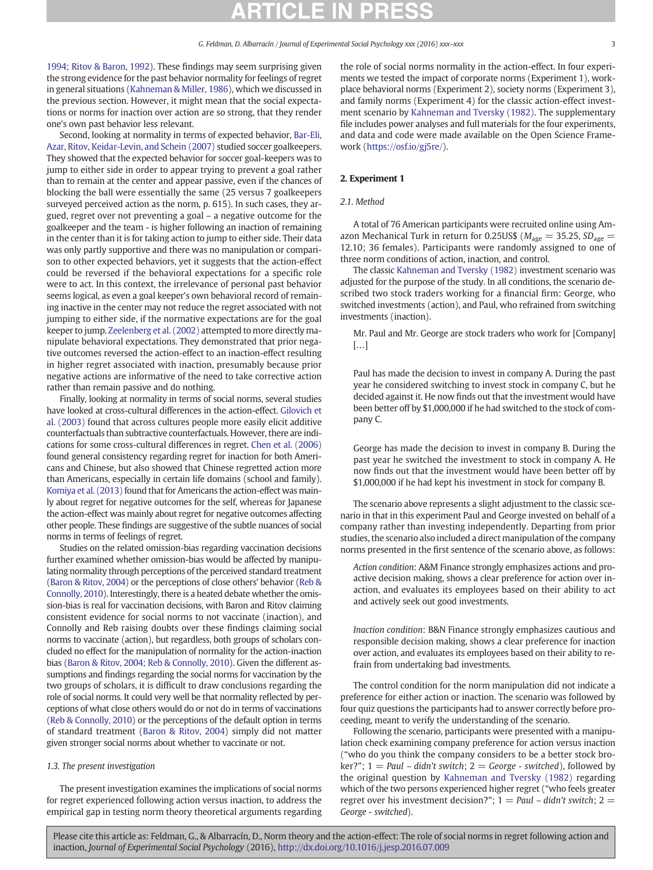[1994; Ritov & Baron, 1992](#page-8-0)). These findings may seem surprising given the strong evidence for the past behavior normality for feelings of regret in general situations ([Kahneman & Miller, 1986](#page-8-0)), which we discussed in the previous section. However, it might mean that the social expectations or norms for inaction over action are so strong, that they render one's own past behavior less relevant.

Second, looking at normality in terms of expected behavior, [Bar-Eli,](#page-8-0) [Azar, Ritov, Keidar-Levin, and Schein \(2007\)](#page-8-0) studied soccer goalkeepers. They showed that the expected behavior for soccer goal-keepers was to jump to either side in order to appear trying to prevent a goal rather than to remain at the center and appear passive, even if the chances of blocking the ball were essentially the same (25 versus 7 goalkeepers surveyed perceived action as the norm, p. 615). In such cases, they argued, regret over not preventing a goal – a negative outcome for the goalkeeper and the team - is higher following an inaction of remaining in the center than it is for taking action to jump to either side. Their data was only partly supportive and there was no manipulation or comparison to other expected behaviors, yet it suggests that the action-effect could be reversed if the behavioral expectations for a specific role were to act. In this context, the irrelevance of personal past behavior seems logical, as even a goal keeper's own behavioral record of remaining inactive in the center may not reduce the regret associated with not jumping to either side, if the normative expectations are for the goal keeper to jump. [Zeelenberg et al. \(2002\)](#page-9-0) attempted to more directly manipulate behavioral expectations. They demonstrated that prior negative outcomes reversed the action-effect to an inaction-effect resulting in higher regret associated with inaction, presumably because prior negative actions are informative of the need to take corrective action rather than remain passive and do nothing.

Finally, looking at normality in terms of social norms, several studies have looked at cross-cultural differences in the action-effect. [Gilovich et](#page-8-0) [al. \(2003\)](#page-8-0) found that across cultures people more easily elicit additive counterfactuals than subtractive counterfactuals. However, there are indications for some cross-cultural differences in regret. [Chen et al. \(2006\)](#page-8-0) found general consistency regarding regret for inaction for both Americans and Chinese, but also showed that Chinese regretted action more than Americans, especially in certain life domains (school and family). [Komiya et al. \(2013\)](#page-8-0) found that for Americans the action-effect was mainly about regret for negative outcomes for the self, whereas for Japanese the action-effect was mainly about regret for negative outcomes affecting other people. These findings are suggestive of the subtle nuances of social norms in terms of feelings of regret.

Studies on the related omission-bias regarding vaccination decisions further examined whether omission-bias would be affected by manipulating normality through perceptions of the perceived standard treatment [\(Baron & Ritov, 2004](#page-8-0)) or the perceptions of close others' behavior [\(Reb &](#page-9-0) [Connolly, 2010\)](#page-9-0). Interestingly, there is a heated debate whether the omission-bias is real for vaccination decisions, with Baron and Ritov claiming consistent evidence for social norms to not vaccinate (inaction), and Connolly and Reb raising doubts over these findings claiming social norms to vaccinate (action), but regardless, both groups of scholars concluded no effect for the manipulation of normality for the action-inaction bias ([Baron & Ritov, 2004; Reb & Connolly, 2010](#page-8-0)). Given the different assumptions and findings regarding the social norms for vaccination by the two groups of scholars, it is difficult to draw conclusions regarding the role of social norms. It could very well be that normality reflected by perceptions of what close others would do or not do in terms of vaccinations [\(Reb & Connolly, 2010](#page-9-0)) or the perceptions of the default option in terms of standard treatment [\(Baron & Ritov, 2004](#page-8-0)) simply did not matter given stronger social norms about whether to vaccinate or not.

### 1.3. The present investigation

The present investigation examines the implications of social norms for regret experienced following action versus inaction, to address the empirical gap in testing norm theory theoretical arguments regarding the role of social norms normality in the action-effect. In four experiments we tested the impact of corporate norms (Experiment 1), workplace behavioral norms (Experiment 2), society norms (Experiment 3), and family norms (Experiment 4) for the classic action-effect investment scenario by [Kahneman and Tversky \(1982\)](#page-8-0). The supplementary file includes power analyses and full materials for the four experiments, and data and code were made available on the Open Science Framework ([https://osf.io/gj5re/\)](https://osf.io/gj5re/).

### 2. Experiment 1

#### 2.1. Method

A total of 76 American participants were recruited online using Amazon Mechanical Turk in return for 0.25US\$ ( $M_{\text{age}} = 35.25$ ,  $SD_{\text{age}} =$ 12.10; 36 females). Participants were randomly assigned to one of three norm conditions of action, inaction, and control.

The classic [Kahneman and Tversky \(1982\)](#page-8-0) investment scenario was adjusted for the purpose of the study. In all conditions, the scenario described two stock traders working for a financial firm: George, who switched investments (action), and Paul, who refrained from switching investments (inaction).

Mr. Paul and Mr. George are stock traders who work for [Company] […]

Paul has made the decision to invest in company A. During the past year he considered switching to invest stock in company C, but he decided against it. He now finds out that the investment would have been better off by \$1,000,000 if he had switched to the stock of company C.

George has made the decision to invest in company B. During the past year he switched the investment to stock in company A. He now finds out that the investment would have been better off by \$1,000,000 if he had kept his investment in stock for company B.

The scenario above represents a slight adjustment to the classic scenario in that in this experiment Paul and George invested on behalf of a company rather than investing independently. Departing from prior studies, the scenario also included a direct manipulation of the company norms presented in the first sentence of the scenario above, as follows:

Action condition: A&M Finance strongly emphasizes actions and proactive decision making, shows a clear preference for action over inaction, and evaluates its employees based on their ability to act and actively seek out good investments.

Inaction condition: B&N Finance strongly emphasizes cautious and responsible decision making, shows a clear preference for inaction over action, and evaluates its employees based on their ability to refrain from undertaking bad investments.

The control condition for the norm manipulation did not indicate a preference for either action or inaction. The scenario was followed by four quiz questions the participants had to answer correctly before proceeding, meant to verify the understanding of the scenario.

Following the scenario, participants were presented with a manipulation check examining company preference for action versus inaction ("who do you think the company considers to be a better stock broker?";  $1 = Paul - didn't switch; 2 = George - switched$ ), followed by the original question by [Kahneman and Tversky \(1982\)](#page-8-0) regarding which of the two persons experienced higher regret ("who feels greater regret over his investment decision?";  $1=$  Paul – didn't switch;  $2=$ George - switched).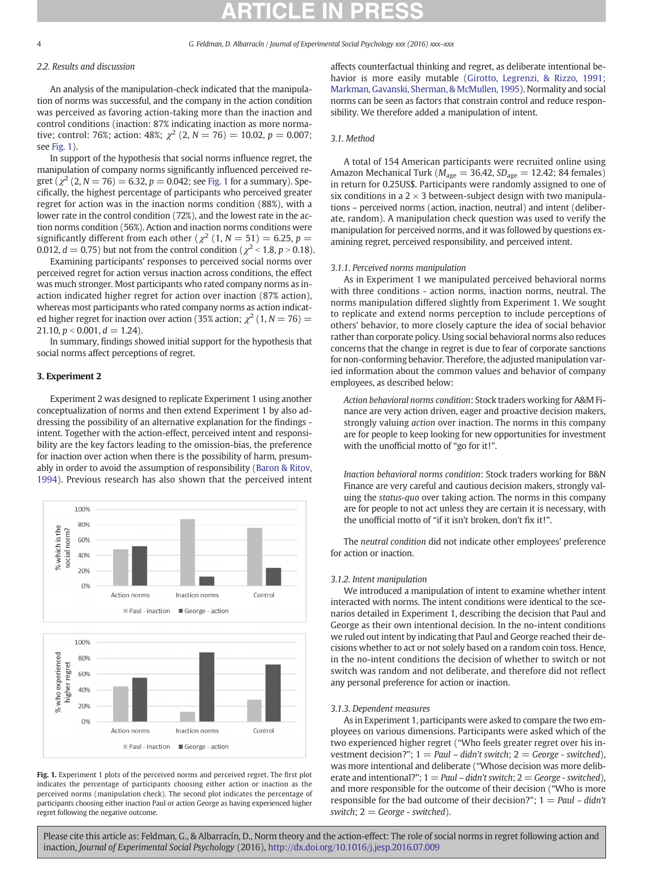#### 4 G. Feldman, D. Albarracín / Journal of Experimental Social Psychology xxx (2016) xxx–xxx

### 2.2. Results and discussion

An analysis of the manipulation-check indicated that the manipulation of norms was successful, and the company in the action condition was perceived as favoring action-taking more than the inaction and control conditions (inaction: 87% indicating inaction as more normative; control: 76%; action: 48%;  $\chi^2$  (2, N = 76) = 10.02, p = 0.007; see Fig. 1).

In support of the hypothesis that social norms influence regret, the manipulation of company norms significantly influenced perceived regret ( $\chi^2$  (2, N = 76) = 6.32, p = 0.042; see Fig. 1 for a summary). Specifically, the highest percentage of participants who perceived greater regret for action was in the inaction norms condition (88%), with a lower rate in the control condition (72%), and the lowest rate in the action norms condition (56%). Action and inaction norms conditions were significantly different from each other ( $\chi^2$  (1, N = 51) = 6.25, p = 0.012,  $d = 0.75$ ) but not from the control condition ( $\chi^2$  < 1.8, p > 0.18).

Examining participants' responses to perceived social norms over perceived regret for action versus inaction across conditions, the effect was much stronger. Most participants who rated company norms as inaction indicated higher regret for action over inaction (87% action), whereas most participants who rated company norms as action indicated higher regret for inaction over action (35% action;  $\chi^2$  (1, N = 76) = 21.10,  $p < 0.001$ ,  $d = 1.24$ ).

In summary, findings showed initial support for the hypothesis that social norms affect perceptions of regret.

#### 3. Experiment 2

Experiment 2 was designed to replicate Experiment 1 using another conceptualization of norms and then extend Experiment 1 by also addressing the possibility of an alternative explanation for the findings intent. Together with the action-effect, perceived intent and responsibility are the key factors leading to the omission-bias, the preference for inaction over action when there is the possibility of harm, presumably in order to avoid the assumption of responsibility ([Baron & Ritov,](#page-8-0) [1994](#page-8-0)). Previous research has also shown that the perceived intent



Fig. 1. Experiment 1 plots of the perceived norms and perceived regret. The first plot indicates the percentage of participants choosing either action or inaction as the perceived norms (manipulation check). The second plot indicates the percentage of participants choosing either inaction Paul or action George as having experienced higher regret following the negative outcome.

Paul - inaction George - action

affects counterfactual thinking and regret, as deliberate intentional behavior is more easily mutable [\(Girotto, Legrenzi, & Rizzo, 1991;](#page-8-0) [Markman, Gavanski, Sherman, & McMullen, 1995](#page-8-0)). Normality and social norms can be seen as factors that constrain control and reduce responsibility. We therefore added a manipulation of intent.

### 3.1. Method

A total of 154 American participants were recruited online using Amazon Mechanical Turk ( $M_{\text{age}} = 36.42$ ,  $SD_{\text{age}} = 12.42$ ; 84 females) in return for 0.25US\$. Participants were randomly assigned to one of six conditions in a  $2 \times 3$  between-subject design with two manipulations – perceived norms (action, inaction, neutral) and intent (deliberate, random). A manipulation check question was used to verify the manipulation for perceived norms, and it was followed by questions examining regret, perceived responsibility, and perceived intent.

#### 3.1.1. Perceived norms manipulation

As in Experiment 1 we manipulated perceived behavioral norms with three conditions - action norms, inaction norms, neutral. The norms manipulation differed slightly from Experiment 1. We sought to replicate and extend norms perception to include perceptions of others' behavior, to more closely capture the idea of social behavior rather than corporate policy. Using social behavioral norms also reduces concerns that the change in regret is due to fear of corporate sanctions for non-conforming behavior. Therefore, the adjusted manipulation varied information about the common values and behavior of company employees, as described below:

Action behavioral norms condition: Stock traders working for A&M Finance are very action driven, eager and proactive decision makers, strongly valuing action over inaction. The norms in this company are for people to keep looking for new opportunities for investment with the unofficial motto of "go for it!".

Inaction behavioral norms condition: Stock traders working for B&N Finance are very careful and cautious decision makers, strongly valuing the status-quo over taking action. The norms in this company are for people to not act unless they are certain it is necessary, with the unofficial motto of "if it isn't broken, don't fix it!".

The neutral condition did not indicate other employees' preference for action or inaction.

#### 3.1.2. Intent manipulation

We introduced a manipulation of intent to examine whether intent interacted with norms. The intent conditions were identical to the scenarios detailed in Experiment 1, describing the decision that Paul and George as their own intentional decision. In the no-intent conditions we ruled out intent by indicating that Paul and George reached their decisions whether to act or not solely based on a random coin toss. Hence, in the no-intent conditions the decision of whether to switch or not switch was random and not deliberate, and therefore did not reflect any personal preference for action or inaction.

#### 3.1.3. Dependent measures

As in Experiment 1, participants were asked to compare the two employees on various dimensions. Participants were asked which of the two experienced higher regret ("Who feels greater regret over his investment decision?";  $1 = Paul - didn't switch; 2 = George - switched)$ , was more intentional and deliberate ("Whose decision was more deliberate and intentional?";  $1=$  Paul – didn't switch;  $2=$  George - switched), and more responsible for the outcome of their decision ("Who is more responsible for the bad outcome of their decision?";  $1 = Paul - didn't$ switch;  $2 = George$  - switched).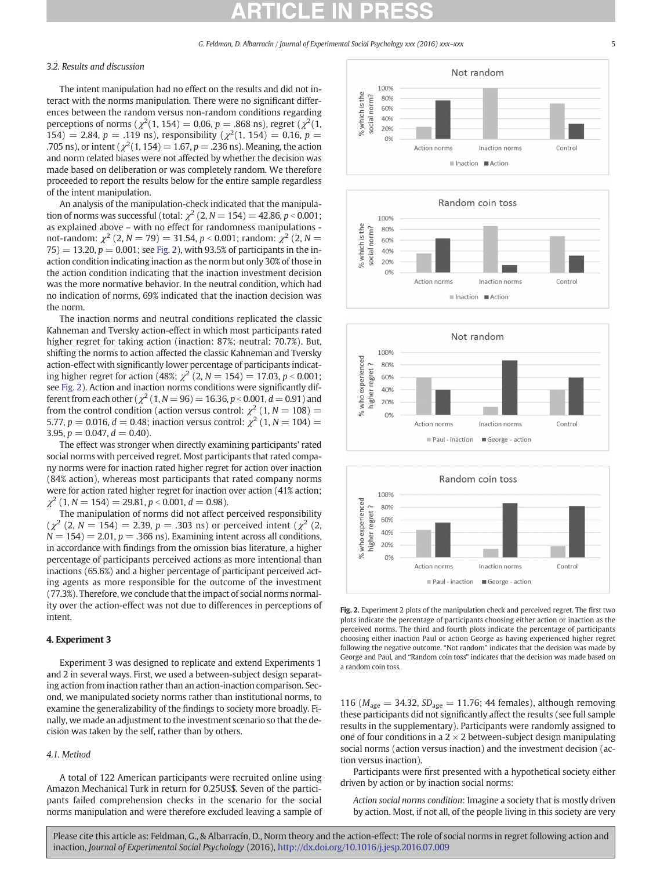### 3.2. Results and discussion

The intent manipulation had no effect on the results and did not interact with the norms manipulation. There were no significant differences between the random versus non-random conditions regarding perceptions of norms ( $\chi^2(1, 154) = 0.06$ ,  $p = .868$  ns), regret ( $\chi^2(1, 154)$ 154) = 2.84,  $p = .119$  ns), responsibility ( $\chi^2(1, 154) = 0.16$ ,  $p =$ .705 ns), or intent ( $\chi^2(1, 154) = 1.67, p = .236$  ns). Meaning, the action and norm related biases were not affected by whether the decision was made based on deliberation or was completely random. We therefore proceeded to report the results below for the entire sample regardless of the intent manipulation.

An analysis of the manipulation-check indicated that the manipulation of norms was successful (total:  $\chi^2$  (2, N = 154) = 42.86, p < 0.001; as explained above – with no effect for randomness manipulations not-random:  $\chi^2$  (2, N = 79) = 31.54, p < 0.001; random:  $\chi^2$  (2, N =  $75$ ) = 13.20,  $p = 0.001$ ; see Fig. 2), with 93.5% of participants in the inaction condition indicating inaction as the norm but only 30% of those in the action condition indicating that the inaction investment decision was the more normative behavior. In the neutral condition, which had no indication of norms, 69% indicated that the inaction decision was the norm.

The inaction norms and neutral conditions replicated the classic Kahneman and Tversky action-effect in which most participants rated higher regret for taking action (inaction: 87%; neutral: 70.7%). But, shifting the norms to action affected the classic Kahneman and Tversky action-effect with significantly lower percentage of participants indicating higher regret for action (48%;  $\chi^2$  (2, N = 154) = 17.03, p < 0.001; see Fig. 2). Action and inaction norms conditions were significantly different from each other ( $\chi^2$  (1, N = 96) = 16.36, p < 0.001, d = 0.91) and from the control condition (action versus control:  $\chi^2$  (1, N = 108) = 5.77,  $p = 0.016$ ,  $d = 0.48$ ; inaction versus control:  $\chi^2$  (1, N = 104) = 3.95,  $p = 0.047$ ,  $d = 0.40$ ).

The effect was stronger when directly examining participants' rated social norms with perceived regret. Most participants that rated company norms were for inaction rated higher regret for action over inaction (84% action), whereas most participants that rated company norms were for action rated higher regret for inaction over action (41% action;  $\chi^2$  (1, N = 154) = 29.81, p < 0.001, d = 0.98).

The manipulation of norms did not affect perceived responsibility  $(\chi^2 (2, N = 154) = 2.39, p = .303 \text{ ns})$  or perceived intent  $(\chi^2 (2, N = 154))$  $N = 154$ ) = 2.01,  $p = .366$  ns). Examining intent across all conditions, in accordance with findings from the omission bias literature, a higher percentage of participants perceived actions as more intentional than inactions (65.6%) and a higher percentage of participant perceived acting agents as more responsible for the outcome of the investment (77.3%). Therefore, we conclude that the impact of social norms normality over the action-effect was not due to differences in perceptions of intent.

### 4. Experiment 3

Experiment 3 was designed to replicate and extend Experiments 1 and 2 in several ways. First, we used a between-subject design separating action from inaction rather than an action-inaction comparison. Second, we manipulated society norms rather than institutional norms, to examine the generalizability of the findings to society more broadly. Finally, we made an adjustment to the investment scenario so that the decision was taken by the self, rather than by others.

### 4.1. Method

A total of 122 American participants were recruited online using Amazon Mechanical Turk in return for 0.25US\$. Seven of the participants failed comprehension checks in the scenario for the social norms manipulation and were therefore excluded leaving a sample of









Fig. 2. Experiment 2 plots of the manipulation check and perceived regret. The first two plots indicate the percentage of participants choosing either action or inaction as the perceived norms. The third and fourth plots indicate the percentage of participants choosing either inaction Paul or action George as having experienced higher regret following the negative outcome. "Not random" indicates that the decision was made by George and Paul, and "Random coin toss" indicates that the decision was made based on a random coin toss.

116 ( $M_{\text{age}} = 34.32$ ,  $SD_{\text{age}} = 11.76$ ; 44 females), although removing these participants did not significantly affect the results (see full sample results in the supplementary). Participants were randomly assigned to one of four conditions in a 2  $\times$  2 between-subject design manipulating social norms (action versus inaction) and the investment decision (action versus inaction).

Participants were first presented with a hypothetical society either driven by action or by inaction social norms:

Action social norms condition: Imagine a society that is mostly driven by action. Most, if not all, of the people living in this society are very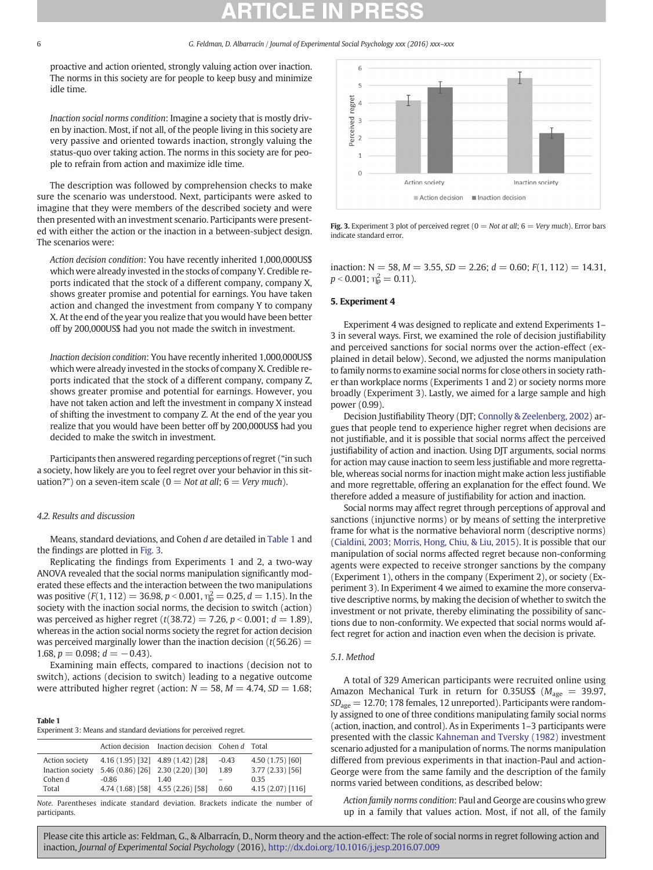proactive and action oriented, strongly valuing action over inaction. The norms in this society are for people to keep busy and minimize idle time.

Inaction social norms condition: Imagine a society that is mostly driven by inaction. Most, if not all, of the people living in this society are very passive and oriented towards inaction, strongly valuing the status-quo over taking action. The norms in this society are for people to refrain from action and maximize idle time.

The description was followed by comprehension checks to make sure the scenario was understood. Next, participants were asked to imagine that they were members of the described society and were then presented with an investment scenario. Participants were presented with either the action or the inaction in a between-subject design. The scenarios were:

Action decision condition: You have recently inherited 1,000,000US\$ which were already invested in the stocks of company Y. Credible reports indicated that the stock of a different company, company X, shows greater promise and potential for earnings. You have taken action and changed the investment from company Y to company X. At the end of the year you realize that you would have been better off by 200,000US\$ had you not made the switch in investment.

Inaction decision condition: You have recently inherited 1,000,000US\$ which were already invested in the stocks of company X. Credible reports indicated that the stock of a different company, company Z, shows greater promise and potential for earnings. However, you have not taken action and left the investment in company X instead of shifting the investment to company Z. At the end of the year you realize that you would have been better off by 200,000US\$ had you decided to make the switch in investment.

Participants then answered regarding perceptions of regret ("in such a society, how likely are you to feel regret over your behavior in this situation?") on a seven-item scale ( $0 = Not$  at all;  $6 = Very$  much).

### 4.2. Results and discussion

Means, standard deviations, and Cohen d are detailed in Table 1 and the findings are plotted in Fig. 3.

Replicating the findings from Experiments 1 and 2, a two-way ANOVA revealed that the social norms manipulation significantly moderated these effects and the interaction between the two manipulations was positive (F(1, 112) = 36.98, p < 0.001,  $\eta_{\rm p}^2 = 0.25$ , d = 1.15). In the society with the inaction social norms, the decision to switch (action) was perceived as higher regret ( $t(38.72) = 7.26$ ,  $p < 0.001$ ;  $d = 1.89$ ), whereas in the action social norms society the regret for action decision was perceived marginally lower than the inaction decision ( $t(56.26)$  = 1.68,  $p = 0.098$ ;  $d = -0.43$ ).

Examining main effects, compared to inactions (decision not to switch), actions (decision to switch) leading to a negative outcome were attributed higher regret (action:  $N = 58$ ,  $M = 4.74$ ,  $SD = 1.68$ ;

| Table 1                                                           |  |
|-------------------------------------------------------------------|--|
| Experiment 3: Means and standard deviations for perceived regret. |  |

|                  |                                   | Action decision Inaction decision Cohen d Total |         |                   |
|------------------|-----------------------------------|-------------------------------------------------|---------|-------------------|
| Action society   | 4.16 (1.95) [32] 4.89 (1.42) [28] |                                                 | $-0.43$ | 4.50 (1.75) [60]  |
| Inaction society | 5.46 (0.86) [26] 2.30 (2.20) [30] |                                                 | 1.89    | $3.77(2.33)$ [56] |
| Cohen d          | $-0.86$                           | 140                                             |         | 0.35              |
| Total            | 4.74 (1.68) [58] 4.55 (2.26) [58] |                                                 | 0.60    | 4.15 (2.07) [116] |

Note. Parentheses indicate standard deviation. Brackets indicate the number of participants.



Fig. 3. Experiment 3 plot of perceived regret ( $0 = Not$  at all;  $6 = Very$  much). Error bars indicate standard error.

inaction:  $N = 58$ ,  $M = 3.55$ ,  $SD = 2.26$ ;  $d = 0.60$ ;  $F(1, 112) = 14.31$ ,  $p < 0.001$ ;  $\eta_{\rm p}^2 = 0.11$ ).

### 5. Experiment 4

Experiment 4 was designed to replicate and extend Experiments 1– 3 in several ways. First, we examined the role of decision justifiability and perceived sanctions for social norms over the action-effect (explained in detail below). Second, we adjusted the norms manipulation to family norms to examine social norms for close others in society rather than workplace norms (Experiments 1 and 2) or society norms more broadly (Experiment 3). Lastly, we aimed for a large sample and high power (0.99).

Decision Justifiability Theory (DJT; [Connolly & Zeelenberg, 2002](#page-8-0)) argues that people tend to experience higher regret when decisions are not justifiable, and it is possible that social norms affect the perceived justifiability of action and inaction. Using DJT arguments, social norms for action may cause inaction to seem less justifiable and more regrettable, whereas social norms for inaction might make action less justifiable and more regrettable, offering an explanation for the effect found. We therefore added a measure of justifiability for action and inaction.

Social norms may affect regret through perceptions of approval and sanctions (injunctive norms) or by means of setting the interpretive frame for what is the normative behavioral norm (descriptive norms) [\(Cialdini, 2003; Morris, Hong, Chiu, & Liu, 2015](#page-8-0)). It is possible that our manipulation of social norms affected regret because non-conforming agents were expected to receive stronger sanctions by the company (Experiment 1), others in the company (Experiment 2), or society (Experiment 3). In Experiment 4 we aimed to examine the more conservative descriptive norms, by making the decision of whether to switch the investment or not private, thereby eliminating the possibility of sanctions due to non-conformity. We expected that social norms would affect regret for action and inaction even when the decision is private.

#### 5.1. Method

A total of 329 American participants were recruited online using Amazon Mechanical Turk in return for 0.35US\$ ( $M_{\text{age}} = 39.97$ ,  $SD<sub>age</sub> = 12.70$ ; 178 females, 12 unreported). Participants were randomly assigned to one of three conditions manipulating family social norms (action, inaction, and control). As in Experiments 1–3 participants were presented with the classic [Kahneman and Tversky \(1982\)](#page-8-0) investment scenario adjusted for a manipulation of norms. The norms manipulation differed from previous experiments in that inaction-Paul and action-George were from the same family and the description of the family norms varied between conditions, as described below:

Action family norms condition: Paul and George are cousins who grew up in a family that values action. Most, if not all, of the family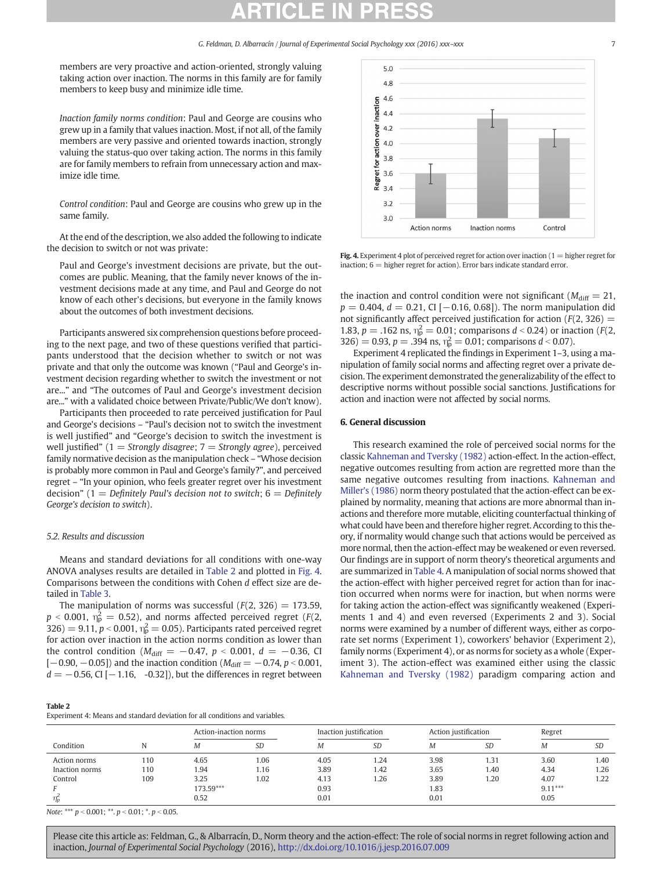members are very proactive and action-oriented, strongly valuing taking action over inaction. The norms in this family are for family members to keep busy and minimize idle time.

Inaction family norms condition: Paul and George are cousins who grew up in a family that values inaction. Most, if not all, of the family members are very passive and oriented towards inaction, strongly valuing the status-quo over taking action. The norms in this family are for family members to refrain from unnecessary action and maximize idle time.

Control condition: Paul and George are cousins who grew up in the same family.

At the end of the description, we also added the following to indicate the decision to switch or not was private:

Paul and George's investment decisions are private, but the outcomes are public. Meaning, that the family never knows of the investment decisions made at any time, and Paul and George do not know of each other's decisions, but everyone in the family knows about the outcomes of both investment decisions.

Participants answered six comprehension questions before proceeding to the next page, and two of these questions verified that participants understood that the decision whether to switch or not was private and that only the outcome was known ("Paul and George's investment decision regarding whether to switch the investment or not are..." and "The outcomes of Paul and George's investment decision are..." with a validated choice between Private/Public/We don't know).

Participants then proceeded to rate perceived justification for Paul and George's decisions – "Paul's decision not to switch the investment is well justified" and "George's decision to switch the investment is well justified" (1 = Strongly disagree; 7 = Strongly agree), perceived family normative decision as the manipulation check – "Whose decision is probably more common in Paul and George's family?", and perceived regret – "In your opinion, who feels greater regret over his investment decision" (1 = Definitely Paul's decision not to switch;  $6=$  Definitely George's decision to switch).

#### 5.2. Results and discussion

Means and standard deviations for all conditions with one-way ANOVA analyses results are detailed in Table 2 and plotted in Fig. 4. Comparisons between the conditions with Cohen d effect size are detailed in [Table 3](#page-7-0).

The manipulation of norms was successful  $(F(2, 326) = 173.59,$  $p$  < 0.001,  $\eta_{\rm p}^2 =$  0.52), and norms affected perceived regret (F(2, 326) = 9.11,  $p < 0.001$ ,  $\eta_{\rm p}^2 = 0.05$ ). Participants rated perceived regret for action over inaction in the action norms condition as lower than the control condition ( $M_{\text{diff}} = -0.47$ ,  $p < 0.001$ ,  $d = -0.36$ , CI  $[-0.90, -0.05]$  and the inaction condition ( $M_{\text{diff}} = -0.74$ ,  $p < 0.001$ ,  $d = -0.56$ , CI [ $-1.16$ ,  $-0.32$ ]), but the differences in regret between



Fig. 4. Experiment 4 plot of perceived regret for action over inaction ( $1 =$  higher regret for inaction;  $6 =$  higher regret for action). Error bars indicate standard error.

the inaction and control condition were not significant ( $M_{\text{diff}} = 21$ ,  $p = 0.404$ ,  $d = 0.21$ , CI [-0.16, 0.68]). The norm manipulation did not significantly affect perceived justification for action ( $F(2, 326) =$ 1.83,  $p = .162$  ns,  $\eta_p^2 = 0.01$ ; comparisons  $d < 0.24$ ) or inaction (F(2, 326) = 0.93, p = .394 ns,  $\eta_{\rm p}^2$  = 0.01; comparisons d < 0.07).

Experiment 4 replicated the findings in Experiment 1–3, using a manipulation of family social norms and affecting regret over a private decision. The experiment demonstrated the generalizability of the effect to descriptive norms without possible social sanctions. Justifications for action and inaction were not affected by social norms.

#### 6. General discussion

This research examined the role of perceived social norms for the classic [Kahneman and Tversky \(1982\)](#page-8-0) action-effect. In the action-effect, negative outcomes resulting from action are regretted more than the same negative outcomes resulting from inactions. [Kahneman and](#page-8-0) [Miller's \(1986\)](#page-8-0) norm theory postulated that the action-effect can be explained by normality, meaning that actions are more abnormal than inactions and therefore more mutable, eliciting counterfactual thinking of what could have been and therefore higher regret. According to this theory, if normality would change such that actions would be perceived as more normal, then the action-effect may be weakened or even reversed. Our findings are in support of norm theory's theoretical arguments and are summarized in [Table 4](#page-7-0). A manipulation of social norms showed that the action-effect with higher perceived regret for action than for inaction occurred when norms were for inaction, but when norms were for taking action the action-effect was significantly weakened (Experiments 1 and 4) and even reversed (Experiments 2 and 3). Social norms were examined by a number of different ways, either as corporate set norms (Experiment 1), coworkers' behavior (Experiment 2), family norms (Experiment 4), or as norms for society as a whole (Experiment 3). The action-effect was examined either using the classic [Kahneman and Tversky \(1982\)](#page-8-0) paradigm comparing action and

#### Table 2

Experiment 4: Means and standard deviation for all conditions and variables.

|                |     | Action-inaction norms |           | Inaction justification |           | Action justification |      | Regret    |      |
|----------------|-----|-----------------------|-----------|------------------------|-----------|----------------------|------|-----------|------|
| Condition      |     | Μ                     | <b>SD</b> | Μ                      | <b>SD</b> | Μ                    | SD   | M         | SD   |
| Action norms   | 110 | 4.65                  | 1.06      | 4.05                   | .24       | 3.98                 | 1.31 | 3.60      | 1.40 |
| Inaction norms | 110 | 1.94                  | 1.16      | 3.89                   | 1.42      | 3.65                 | 1.40 | 4.34      | 1.26 |
| Control        | 109 | 3.25                  | 1.02      | 4.13                   | 1.26      | 3.89                 | 1.20 | 4.07      | 1.22 |
|                |     | 173.59***             |           | 0.93                   |           | 1.83                 |      | $9.11***$ |      |
| $\eta_n^2$     |     | 0.52                  |           | 0.01                   |           | 0.01                 |      | 0.05      |      |

Note: \*\*\*  $p < 0.001$ ; \*\*.  $p < 0.01$ ; \*.  $p < 0.05$ .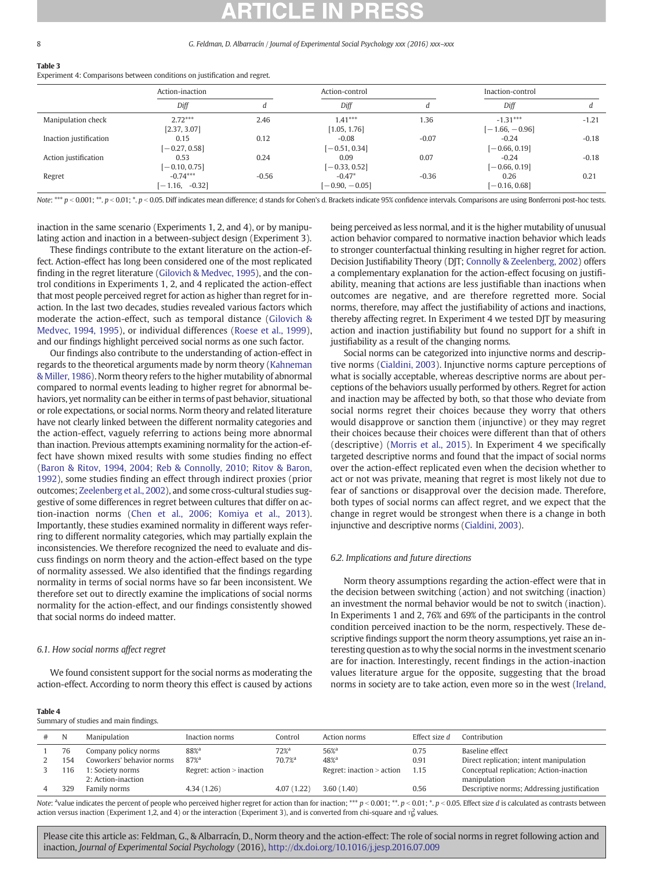#### <span id="page-7-0"></span>8 G. Feldman, D. Albarracín / Journal of Experimental Social Psychology xxx (2016) xxx–xxx

#### Table 3

Experiment 4: Comparisons between conditions on justification and regret.

|                        | Action-inaction                |         | Action-control             |         | Inaction-control               |         |
|------------------------|--------------------------------|---------|----------------------------|---------|--------------------------------|---------|
|                        | Diff                           |         | Diff                       |         | Diff                           |         |
| Manipulation check     | $2.72***$<br>[2.37, 3.07]      | 2.46    | $1.41***$<br>[1.05, 1.76]  | 1.36    | $-1.31***$<br>$[-1.66, -0.96]$ | $-1.21$ |
| Inaction justification | 0.15<br>$[-0.27, 0.58]$        | 0.12    | $-0.08$<br>$[-0.51, 0.34]$ | $-0.07$ | $-0.24$<br>$[-0.66, 0.19]$     | $-0.18$ |
| Action justification   | 0.53<br>$[-0.10, 0.75]$        | 0.24    | 0.09<br>$[-0.33, 0.52]$    | 0.07    | $-0.24$<br>$[-0.66, 0.19]$     | $-0.18$ |
| Regret                 | $-0.74***$<br>$[-1.16, -0.32]$ | $-0.56$ | $-0.47*$<br>$-0.90, -0.05$ | $-0.36$ | 0.26<br>$-0.16, 0.68$          | 0.21    |

Note: \*\*\*  $p < 0.001$ ; \*.  $p < 0.01$ ; \*. p  $< 0.05$ . Diff indicates mean difference; d stands for Cohen's d. Brackets indicate 95% confidence intervals. Comparisons are using Bonferroni post-hoc tests.

inaction in the same scenario (Experiments 1, 2, and 4), or by manipulating action and inaction in a between-subject design (Experiment 3).

These findings contribute to the extant literature on the action-effect. Action-effect has long been considered one of the most replicated finding in the regret literature [\(Gilovich & Medvec, 1995\)](#page-8-0), and the control conditions in Experiments 1, 2, and 4 replicated the action-effect that most people perceived regret for action as higher than regret for inaction. In the last two decades, studies revealed various factors which moderate the action-effect, such as temporal distance ([Gilovich &](#page-8-0) [Medvec, 1994, 1995\)](#page-8-0), or individual differences ([Roese et al., 1999](#page-9-0)), and our findings highlight perceived social norms as one such factor.

Our findings also contribute to the understanding of action-effect in regards to the theoretical arguments made by norm theory [\(Kahneman](#page-8-0) [& Miller, 1986\)](#page-8-0). Norm theory refers to the higher mutability of abnormal compared to normal events leading to higher regret for abnormal behaviors, yet normality can be either in terms of past behavior, situational or role expectations, or social norms. Norm theory and related literature have not clearly linked between the different normality categories and the action-effect, vaguely referring to actions being more abnormal than inaction. Previous attempts examining normality for the action-effect have shown mixed results with some studies finding no effect [\(Baron & Ritov, 1994, 2004; Reb & Connolly, 2010; Ritov & Baron,](#page-8-0) [1992](#page-8-0)), some studies finding an effect through indirect proxies (prior outcomes; [Zeelenberg et al., 2002\)](#page-9-0), and some cross-cultural studies suggestive of some differences in regret between cultures that differ on action-inaction norms ([Chen et al., 2006; Komiya et al., 2013](#page-8-0)). Importantly, these studies examined normality in different ways referring to different normality categories, which may partially explain the inconsistencies. We therefore recognized the need to evaluate and discuss findings on norm theory and the action-effect based on the type of normality assessed. We also identified that the findings regarding normality in terms of social norms have so far been inconsistent. We therefore set out to directly examine the implications of social norms normality for the action-effect, and our findings consistently showed that social norms do indeed matter.

#### 6.1. How social norms affect regret

We found consistent support for the social norms as moderating the action-effect. According to norm theory this effect is caused by actions being perceived as less normal, and it is the higher mutability of unusual action behavior compared to normative inaction behavior which leads to stronger counterfactual thinking resulting in higher regret for action. Decision Justifiability Theory (DJT; [Connolly & Zeelenberg, 2002](#page-8-0)) offers a complementary explanation for the action-effect focusing on justifiability, meaning that actions are less justifiable than inactions when outcomes are negative, and are therefore regretted more. Social norms, therefore, may affect the justifiability of actions and inactions, thereby affecting regret. In Experiment 4 we tested DJT by measuring action and inaction justifiability but found no support for a shift in justifiability as a result of the changing norms.

Social norms can be categorized into injunctive norms and descriptive norms [\(Cialdini, 2003\)](#page-8-0). Injunctive norms capture perceptions of what is socially acceptable, whereas descriptive norms are about perceptions of the behaviors usually performed by others. Regret for action and inaction may be affected by both, so that those who deviate from social norms regret their choices because they worry that others would disapprove or sanction them (injunctive) or they may regret their choices because their choices were different than that of others (descriptive) [\(Morris et al., 2015\)](#page-8-0). In Experiment 4 we specifically targeted descriptive norms and found that the impact of social norms over the action-effect replicated even when the decision whether to act or not was private, meaning that regret is most likely not due to fear of sanctions or disapproval over the decision made. Therefore, both types of social norms can affect regret, and we expect that the change in regret would be strongest when there is a change in both injunctive and descriptive norms [\(Cialdini, 2003\)](#page-8-0).

#### 6.2. Implications and future directions

Norm theory assumptions regarding the action-effect were that in the decision between switching (action) and not switching (inaction) an investment the normal behavior would be not to switch (inaction). In Experiments 1 and 2, 76% and 69% of the participants in the control condition perceived inaction to be the norm, respectively. These descriptive findings support the norm theory assumptions, yet raise an interesting question as to why the social norms in the investment scenario are for inaction. Interestingly, recent findings in the action-inaction values literature argue for the opposite, suggesting that the broad norms in society are to take action, even more so in the west ([Ireland,](#page-8-0)

|--|--|

Summary of studies and main findings.

| N   | Manipulation              | Inaction norms              | Control             | Action norms                    | Effect size d | Contribution                                |
|-----|---------------------------|-----------------------------|---------------------|---------------------------------|---------------|---------------------------------------------|
| 76  | Company policy norms      | 88% <sup>a</sup>            | $72\%$ <sup>a</sup> | $56%$ <sup><math>3</math></sup> | 0.75          | Baseline effect                             |
| 154 | Coworkers' behavior norms | $87%$ <sup>a</sup>          | 70.7% <sup>a</sup>  | $48\%$ <sup>a</sup>             | 0.91          | Direct replication; intent manipulation     |
| 16  | 1: Society norms          | Regret: $action$ > inaction |                     | Regret: inaction > action       | 1.15          | Conceptual replication; Action-inaction     |
|     | 2: Action-inaction        |                             |                     |                                 |               | manipulation                                |
| 329 | Family norms              | 4.34(1.26)                  | 4.07(1.22)          | 3.60(1.40)                      | 0.56          | Descriptive norms; Addressing justification |
|     |                           |                             |                     |                                 |               |                                             |

Note: <sup>a</sup>value indicates the percent of people who perceived higher regret for action than for inaction; \*\*\*  $p < 0.001$ ; \*.  $p < 0.01$ ; \*.  $p < 0.05$ . Effect size d is calculated as contrasts between action versus inaction (Experiment 1,2, and 4) or the interaction (Experiment 3), and is converted from chi-square and  $\eta_p^2$  values.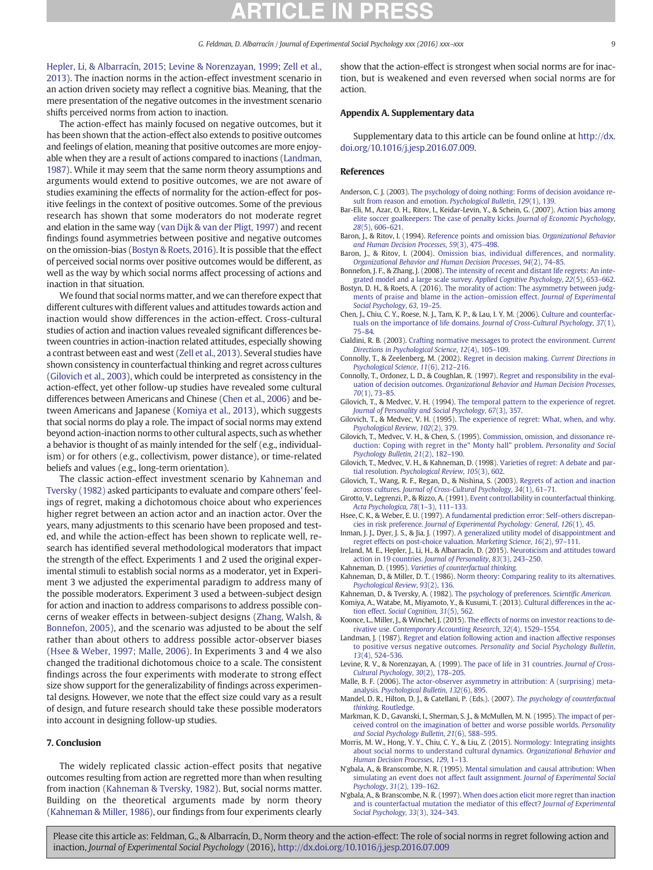<span id="page-8-0"></span>Hepler, Li, & Albarracín, 2015; Levine & Norenzayan, 1999; Zell et al., 2013). The inaction norms in the action-effect investment scenario in an action driven society may reflect a cognitive bias. Meaning, that the mere presentation of the negative outcomes in the investment scenario shifts perceived norms from action to inaction.

The action-effect has mainly focused on negative outcomes, but it has been shown that the action-effect also extends to positive outcomes and feelings of elation, meaning that positive outcomes are more enjoyable when they are a result of actions compared to inactions (Landman, 1987). While it may seem that the same norm theory assumptions and arguments would extend to positive outcomes, we are not aware of studies examining the effects of normality for the action-effect for positive feelings in the context of positive outcomes. Some of the previous research has shown that some moderators do not moderate regret and elation in the same way ([van Dijk & van der Pligt, 1997\)](#page-9-0) and recent findings found asymmetries between positive and negative outcomes on the omission-bias (Bostyn & Roets, 2016). It is possible that the effect of perceived social norms over positive outcomes would be different, as well as the way by which social norms affect processing of actions and inaction in that situation.

We found that social norms matter, and we can therefore expect that different cultures with different values and attitudes towards action and inaction would show differences in the action-effect. Cross-cultural studies of action and inaction values revealed significant differences between countries in action-inaction related attitudes, especially showing a contrast between east and west ([Zell et al., 2013\)](#page-9-0). Several studies have shown consistency in counterfactual thinking and regret across cultures (Gilovich et al., 2003), which could be interpreted as consistency in the action-effect, yet other follow-up studies have revealed some cultural differences between Americans and Chinese (Chen et al., 2006) and between Americans and Japanese (Komiya et al., 2013), which suggests that social norms do play a role. The impact of social norms may extend beyond action-inaction norms to other cultural aspects, such as whether a behavior is thought of as mainly intended for the self (e.g., individualism) or for others (e.g., collectivism, power distance), or time-related beliefs and values (e.g., long-term orientation).

The classic action-effect investment scenario by Kahneman and Tversky (1982) asked participants to evaluate and compare others' feelings of regret, making a dichotomous choice about who experiences higher regret between an action actor and an inaction actor. Over the years, many adjustments to this scenario have been proposed and tested, and while the action-effect has been shown to replicate well, research has identified several methodological moderators that impact the strength of the effect. Experiments 1 and 2 used the original experimental stimuli to establish social norms as a moderator, yet in Experiment 3 we adjusted the experimental paradigm to address many of the possible moderators. Experiment 3 used a between-subject design for action and inaction to address comparisons to address possible concerns of weaker effects in between-subject designs [\(Zhang, Walsh, &](#page-9-0) [Bonnefon, 2005](#page-9-0)), and the scenario was adjusted to be about the self rather than about others to address possible actor-observer biases (Hsee & Weber, 1997; Malle, 2006). In Experiments 3 and 4 we also changed the traditional dichotomous choice to a scale. The consistent findings across the four experiments with moderate to strong effect size show support for the generalizability of findings across experimental designs. However, we note that the effect size could vary as a result of design, and future research should take these possible moderators into account in designing follow-up studies.

#### 7. Conclusion

The widely replicated classic action-effect posits that negative outcomes resulting from action are regretted more than when resulting from inaction (Kahneman & Tversky, 1982). But, social norms matter. Building on the theoretical arguments made by norm theory (Kahneman & Miller, 1986), our findings from four experiments clearly show that the action-effect is strongest when social norms are for inaction, but is weakened and even reversed when social norms are for action.

#### Appendix A. Supplementary data

Supplementary data to this article can be found online at [http://dx.](doi:10.1016/j.jesp.2016.07.009) [doi.org/10.1016/j.jesp.2016.07.009.](doi:10.1016/j.jesp.2016.07.009)

### References

- Anderson, C. J. (2003). [The psychology of doing nothing: Forms of decision avoidance re](http://refhub.elsevier.com/S0022-1031(16)30101-9/rf0005)[sult from reason and emotion.](http://refhub.elsevier.com/S0022-1031(16)30101-9/rf0005) Psychological Bulletin, 129(1), 139.
- Bar-Eli, M., Azar, O. H., Ritov, I., Keidar-Levin, Y., & Schein, G. (2007). [Action bias among](http://refhub.elsevier.com/S0022-1031(16)30101-9/rf0010) [elite soccer goalkeepers: The case of penalty kicks.](http://refhub.elsevier.com/S0022-1031(16)30101-9/rf0010) Journal of Economic Psychology, 28[\(5\), 606](http://refhub.elsevier.com/S0022-1031(16)30101-9/rf0010)–621.
- Baron, J., & Ritov, I. (1994). [Reference points and omission bias.](http://refhub.elsevier.com/S0022-1031(16)30101-9/rf0015) Organizational Behavior [and Human Decision Processes](http://refhub.elsevier.com/S0022-1031(16)30101-9/rf0015), 59(3), 475–498.
- Baron, J., & Ritov, I. (2004). [Omission bias, individual differences, and normality.](http://refhub.elsevier.com/S0022-1031(16)30101-9/rf0020) [Organizational Behavior and Human Decision Processes](http://refhub.elsevier.com/S0022-1031(16)30101-9/rf0020), 94(2), 74–85.
- Bonnefon, J. F., & Zhang, J. (2008). [The intensity of recent and distant life regrets: An inte](http://refhub.elsevier.com/S0022-1031(16)30101-9/rf0025)[grated model and a large scale survey.](http://refhub.elsevier.com/S0022-1031(16)30101-9/rf0025) Applied Cognitive Psychology, 22(5), 653–662.
- Bostyn, D. H., & Roets, A. (2016). [The morality of action: The asymmetry between judg](http://refhub.elsevier.com/S0022-1031(16)30101-9/rf0030)[ments of praise and blame in the action](http://refhub.elsevier.com/S0022-1031(16)30101-9/rf0030)–omission effect. Journal of Experimental [Social Psychology](http://refhub.elsevier.com/S0022-1031(16)30101-9/rf0030), 63, 19–25.
- Chen, J., Chiu, C. Y., Roese, N. J., Tam, K. P., & Lau, I. Y. M. (2006). [Culture and counterfac](http://refhub.elsevier.com/S0022-1031(16)30101-9/rf0035)[tuals on the importance of life domains.](http://refhub.elsevier.com/S0022-1031(16)30101-9/rf0035) Journal of Cross-Cultural Psychology, 37(1), 75–[84.](http://refhub.elsevier.com/S0022-1031(16)30101-9/rf0035)
- Cialdini, R. B. (2003). [Crafting normative messages to protect the environment.](http://refhub.elsevier.com/S0022-1031(16)30101-9/rf0040) Current [Directions in Psychological Science](http://refhub.elsevier.com/S0022-1031(16)30101-9/rf0040), 12(4), 105–109.
- Connolly, T., & Zeelenberg, M. (2002). [Regret in decision making.](http://refhub.elsevier.com/S0022-1031(16)30101-9/rf0045) Current Directions in [Psychological Science](http://refhub.elsevier.com/S0022-1031(16)30101-9/rf0045), 11(6), 212–216.
- Connolly, T., Ordonez, L. D., & Coughlan, R. (1997). [Regret and responsibility in the eval](http://refhub.elsevier.com/S0022-1031(16)30101-9/rf0050)uation of decision outcomes. [Organizational Behavior and Human Decision Processes](http://refhub.elsevier.com/S0022-1031(16)30101-9/rf0050), 70[\(1\), 73](http://refhub.elsevier.com/S0022-1031(16)30101-9/rf0050)–85.
- Gilovich, T., & Medvec, V. H. (1994). [The temporal pattern to the experience of regret.](http://refhub.elsevier.com/S0022-1031(16)30101-9/rf0055) [Journal of Personality and Social Psychology](http://refhub.elsevier.com/S0022-1031(16)30101-9/rf0055), 67(3), 357.
- Gilovich, T., & Medvec, V. H. (1995). [The experience of regret: What, when, and why.](http://refhub.elsevier.com/S0022-1031(16)30101-9/rf0060) [Psychological Review](http://refhub.elsevier.com/S0022-1031(16)30101-9/rf0060), 102(2), 379.
- Gilovich, T., Medvec, V. H., & Chen, S. (1995). [Commission, omission, and dissonance re](http://refhub.elsevier.com/S0022-1031(16)30101-9/rf0065)[duction: Coping with regret in the](http://refhub.elsevier.com/S0022-1031(16)30101-9/rf0065)" Monty hall" problem. Personality and Social [Psychology Bulletin](http://refhub.elsevier.com/S0022-1031(16)30101-9/rf0065), 21(2), 182–190.
- Gilovich, T., Medvec, V. H., & Kahneman, D. (1998). [Varieties of regret: A debate and par](http://refhub.elsevier.com/S0022-1031(16)30101-9/rf0070)tial resolution. [Psychological Review](http://refhub.elsevier.com/S0022-1031(16)30101-9/rf0070), 105(3), 602.
- Gilovich, T., Wang, R. F., Regan, D., & Nishina, S. (2003). [Regrets of action and inaction](http://refhub.elsevier.com/S0022-1031(16)30101-9/rf0075) across cultures. [Journal of Cross-Cultural Psychology](http://refhub.elsevier.com/S0022-1031(16)30101-9/rf0075), 34(1), 61–71.
- Girotto, V., Legrenzi, P., & Rizzo, A. (1991). [Event controllability in counterfactual thinking.](http://refhub.elsevier.com/S0022-1031(16)30101-9/rf0080) [Acta Psychologica](http://refhub.elsevier.com/S0022-1031(16)30101-9/rf0080), 78(1–3), 111–133.
- Hsee, C. K., & Weber, E. U. (1997). [A fundamental prediction error: Self](http://refhub.elsevier.com/S0022-1031(16)30101-9/rf0085)–others discrepancies in risk preference. [Journal of Experimental Psychology: General](http://refhub.elsevier.com/S0022-1031(16)30101-9/rf0085), 126(1), 45.
- Inman, J. J., Dyer, J. S., & Jia, J. (1997). [A generalized utility model of disappointment and](http://refhub.elsevier.com/S0022-1031(16)30101-9/rf0090) [regret effects on post-choice valuation.](http://refhub.elsevier.com/S0022-1031(16)30101-9/rf0090) Marketing Science, 16(2), 97-111
- Ireland, M. E., Hepler, J., Li, H., & Albarracín, D. (2015). [Neuroticism and attitudes toward](http://refhub.elsevier.com/S0022-1031(16)30101-9/rf0095) [action in 19 countries.](http://refhub.elsevier.com/S0022-1031(16)30101-9/rf0095) Journal of Personality, 83(3), 243–250. Kahneman, D. (1995). [Varieties of counterfactual thinking.](http://refhub.elsevier.com/S0022-1031(16)30101-9/rf0100)
- Kahneman, D., & Miller, D. T. (1986). [Norm theory: Comparing reality to its alternatives.](http://refhub.elsevier.com/S0022-1031(16)30101-9/rf0105) [Psychological Review](http://refhub.elsevier.com/S0022-1031(16)30101-9/rf0105), 93(2), 136.
- Kahneman, D., & Tversky, A. (1982). [The psychology of preferences.](http://refhub.elsevier.com/S0022-1031(16)30101-9/rf0110) Scientific American. Komiya, A., Watabe, M., Miyamoto, Y., & Kusumi, T. (2013). [Cultural differences in the ac-](http://refhub.elsevier.com/S0022-1031(16)30101-9/rf0115)
- tion effect. [Social Cognition](http://refhub.elsevier.com/S0022-1031(16)30101-9/rf0115), 31(5), 562. Koonce, L., Miller, J., & Winchel, J. (2015). [The effects of norms on investor reactions to de-](http://refhub.elsevier.com/S0022-1031(16)30101-9/rf0120)
- rivative use. [Contemporary Accounting Research](http://refhub.elsevier.com/S0022-1031(16)30101-9/rf0120), 32(4), 1529–1554.
- Landman, J. (1987). [Regret and elation following action and inaction affective responses](http://refhub.elsevier.com/S0022-1031(16)30101-9/rf0125) to positive versus negative outcomes. [Personality and Social Psychology Bulletin](http://refhub.elsevier.com/S0022-1031(16)30101-9/rf0125), 13[\(4\), 524](http://refhub.elsevier.com/S0022-1031(16)30101-9/rf0125)–536.
- Levine, R. V., & Norenzayan, A. (1999). [The pace of life in 31 countries.](http://refhub.elsevier.com/S0022-1031(16)30101-9/rf0130) Journal of Cross-[Cultural Psychology](http://refhub.elsevier.com/S0022-1031(16)30101-9/rf0130), 30(2), 178–205.
- Malle, B. F. (2006). [The actor-observer asymmetry in attribution: A \(surprising\) meta](http://refhub.elsevier.com/S0022-1031(16)30101-9/rf0135)analysis. [Psychological Bulletin](http://refhub.elsevier.com/S0022-1031(16)30101-9/rf0135), 132(6), 895.
- Mandel, D. R., Hilton, D. J., & Catellani, P. (Eds.). (2007). [The psychology of counterfactual](http://refhub.elsevier.com/S0022-1031(16)30101-9/rf0140) thinking[. Routledge.](http://refhub.elsevier.com/S0022-1031(16)30101-9/rf0140)
- Markman, K. D., Gavanski, I., Sherman, S. J., & McMullen, M. N. (1995). [The impact of per](http://refhub.elsevier.com/S0022-1031(16)30101-9/rf0145)[ceived control on the imagination of better and worse possible worlds.](http://refhub.elsevier.com/S0022-1031(16)30101-9/rf0145) Personality [and Social Psychology Bulletin](http://refhub.elsevier.com/S0022-1031(16)30101-9/rf0145), 21(6), 588–595.
- Morris, M. W., Hong, Y. Y., Chiu, C. Y., & Liu, Z. (2015). [Normology: Integrating insights](http://refhub.elsevier.com/S0022-1031(16)30101-9/rf0150) [about social norms to understand cultural dynamics.](http://refhub.elsevier.com/S0022-1031(16)30101-9/rf0150) Organizational Behavior and [Human Decision Processes](http://refhub.elsevier.com/S0022-1031(16)30101-9/rf0150), 129, 1–13.
- N'gbala, A., & Branscombe, N. R. (1995). [Mental simulation and causal attribution: When](http://refhub.elsevier.com/S0022-1031(16)30101-9/rf0155) [simulating an event does not affect fault assignment.](http://refhub.elsevier.com/S0022-1031(16)30101-9/rf0155) Journal of Experimental Social [Psychology](http://refhub.elsevier.com/S0022-1031(16)30101-9/rf0155), 31(2), 139–162.
- N'gbala, A., & Branscombe, N. R. (1997). [When does action elicit more regret than inaction](http://refhub.elsevier.com/S0022-1031(16)30101-9/rf0160) [and is counterfactual mutation the mediator of this effect?](http://refhub.elsevier.com/S0022-1031(16)30101-9/rf0160) Journal of Experimental [Social Psychology](http://refhub.elsevier.com/S0022-1031(16)30101-9/rf0160), 33(3), 324–343.